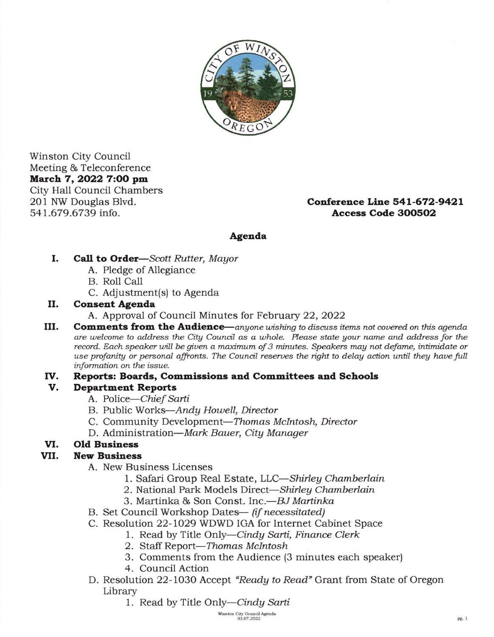

Winston City Council Meeting & Teleconference March 7, 2022 7:00 pm City Hall Council Chambers 201 NW Douglas Blvd. 541.679.6739 info.

# Conference Line 541-672-9421 Access Code 3OO5O2

# Agenda

- I Call to Order-Scott Rutter, Mayor
	- A. Pledge of Allegiance
	- B. Roll Call
	- C. Adjustment(s) to Agenda

### n. Conseat Agenda

- A. Approval of Council Minutes for February 22,2022
- IU. **Comments from the Audience**—anyone wishing to discuss items not covered on this agenda are welcome to address the City Council as a whole. Please state your name and address for the record. Each speaker will be given a maximum of 3 minutes. Speakers may not defame, intimidate or use profanity or personal affronts. The Council reserves the right to delay action until they have full information on the issue.

#### Reports: Boards, Commissions and Committees and Schools rv

# Department Reports v

- A. Police-Chief Sarti
- B. Public Works-Andy Houell, Director
- C. Community Development-Thomas McIntosh, Director
- D. Administration-Mark Bauer, City Manager

# vI. Old Business

# vu. **New Business**

- A. New Business Licenses
	- 1. Safari Group Real Estate, LLC-Shirley Chamberlain
	- 2. National Park Models Direct-Shirley Chamberlain
	- 3. Martinka & Son Const. Inc.--BJ Martinka
- B. Set Council Workshop Dates-- (d necessitated)
- C. Resolution 22- 1029 WDWD IGA for Internet Cabinet Space
	- 1. Read by Title Only-Cindy Sarti, Finance Clerk
	- 2. Staff Report-Thomas McIntosh
	- 3. Comments from the Audience (3 minutes each speaker)
	- 4. Council Action
- D. Resolution 22-lO3O Accept "Readg to Read" Grant from State of Oregon Library
	- 1. Read by Title Only—Cindy Sarti